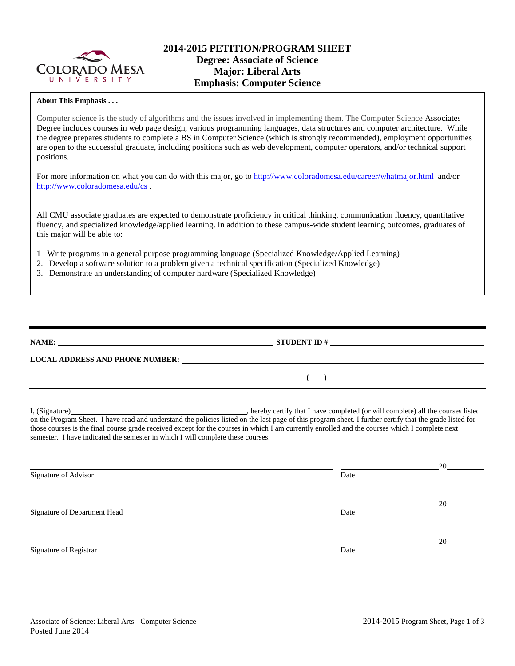

### **About This Emphasis . . .**

Computer science is the study of algorithms and the issues involved in implementing them. The Computer Science Associates Degree includes courses in web page design, various programming languages, data structures and computer architecture. While the degree prepares students to complete a BS in Computer Science (which is strongly recommended), employment opportunities are open to the successful graduate, including positions such as web development, computer operators, and/or technical support positions.

For more information on what you can do with this major, go to<http://www.coloradomesa.edu/career/whatmajor.html>and/or <http://www.coloradomesa.edu/cs> .

All CMU associate graduates are expected to demonstrate proficiency in critical thinking, communication fluency, quantitative fluency, and specialized knowledge/applied learning. In addition to these campus-wide student learning outcomes, graduates of this major will be able to:

- 1 Write programs in a general purpose programming language (Specialized Knowledge/Applied Learning)
- 2. Develop a software solution to a problem given a technical specification (Specialized Knowledge)
- 3. Demonstrate an understanding of computer hardware (Specialized Knowledge)

| NAME:                                  | <b>STUDENT ID#</b> |
|----------------------------------------|--------------------|
| <b>LOCAL ADDRESS AND PHONE NUMBER:</b> |                    |
|                                        |                    |

I, (Signature) , hereby certify that I have completed (or will complete) all the courses listed on the Program Sheet. I have read and understand the policies listed on the last page of this program sheet. I further certify that the grade listed for those courses is the final course grade received except for the courses in which I am currently enrolled and the courses which I complete next semester. I have indicated the semester in which I will complete these courses.

|                              |      | 20 |
|------------------------------|------|----|
| Signature of Advisor         | Date |    |
|                              |      | 20 |
| Signature of Department Head | Date |    |
|                              |      | 20 |
| Signature of Registrar       | Date |    |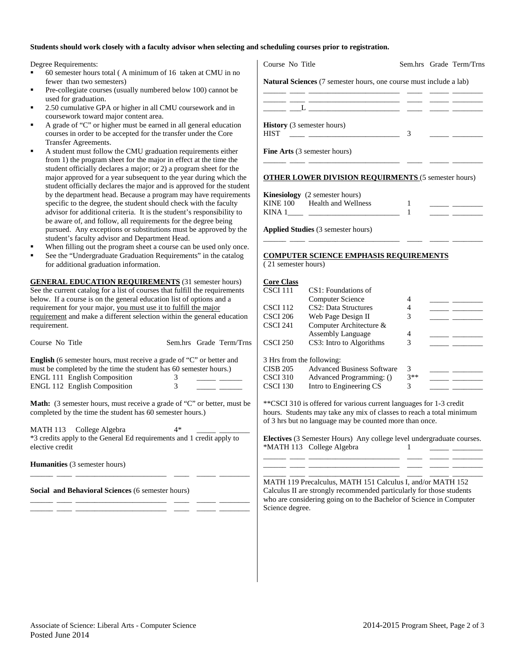#### **Students should work closely with a faculty advisor when selecting and scheduling courses prior to registration.**

Degree Requirements:

- 60 semester hours total ( A minimum of 16 taken at CMU in no fewer than two semesters)
- Pre-collegiate courses (usually numbered below 100) cannot be used for graduation.
- 2.50 cumulative GPA or higher in all CMU coursework and in coursework toward major content area.
- A grade of "C" or higher must be earned in all general education courses in order to be accepted for the transfer under the Core Transfer Agreements.
- A student must follow the CMU graduation requirements either from 1) the program sheet for the major in effect at the time the student officially declares a major; or 2) a program sheet for the major approved for a year subsequent to the year during which the student officially declares the major and is approved for the student by the department head. Because a program may have requirements specific to the degree, the student should check with the faculty advisor for additional criteria. It is the student's responsibility to be aware of, and follow, all requirements for the degree being pursued. Any exceptions or substitutions must be approved by the student's faculty advisor and Department Head.
- When filling out the program sheet a course can be used only once.
- See the "Undergraduate Graduation Requirements" in the catalog for additional graduation information.

**GENERAL EDUCATION REQUIREMENTS** (31 semester hours) See the current catalog for a list of courses that fulfill the requirements below. If a course is on the general education list of options and a requirement for your major, you must use it to fulfill the major requirement and make a different selection within the general education requirement.

| Course No Title                                                                                                                                  |    |  | Sem.hrs Grade Term/Trns |  |  |  |
|--------------------------------------------------------------------------------------------------------------------------------------------------|----|--|-------------------------|--|--|--|
| <b>English</b> (6 semester hours, must receive a grade of "C" or better and<br>must be completed by the time the student has 60 semester hours.) |    |  |                         |  |  |  |
| <b>ENGL 111 English Composition</b>                                                                                                              |    |  |                         |  |  |  |
| <b>ENGL 112 English Composition</b>                                                                                                              | 3  |  |                         |  |  |  |
| <b>Math:</b> (3 semester hours, must receive a grade of "C" or better, must be<br>completed by the time the student has 60 semester hours.)      |    |  |                         |  |  |  |
| MATH 113 College Algebra                                                                                                                         | 4* |  |                         |  |  |  |
| *3 credits apply to the General Ed requirements and 1 credit apply to<br>elective credit                                                         |    |  |                         |  |  |  |

\_\_\_\_\_\_ \_\_\_\_ \_\_\_\_\_\_\_\_\_\_\_\_\_\_\_\_\_\_\_\_\_\_\_\_ \_\_\_\_ \_\_\_\_\_ \_\_\_\_\_\_\_\_

\_\_\_\_\_\_ \_\_\_\_ \_\_\_\_\_\_\_\_\_\_\_\_\_\_\_\_\_\_\_\_\_\_\_\_ \_\_\_\_ \_\_\_\_\_ \_\_\_\_\_\_\_\_ \_\_\_\_\_\_ \_\_\_\_ \_\_\_\_\_\_\_\_\_\_\_\_\_\_\_\_\_\_\_\_\_\_\_\_ \_\_\_\_ \_\_\_\_\_ \_\_\_\_\_\_\_\_

**Humanities** (3 semester hours)

**Social and Behavioral Sciences** (6 semester hours)

| Sem.hrs Grade Term/Trns                                                   |
|---------------------------------------------------------------------------|
| <b>Natural Sciences</b> (7 semester hours, one course must include a lab) |
|                                                                           |
| <u> 1980 - Jan Samuel Alexandro (h. 1922)</u>                             |
|                                                                           |
|                                                                           |
|                                                                           |

|          | <b>Kinesiology</b> (2 semester hours) |  |
|----------|---------------------------------------|--|
| KINE 100 | Health and Wellness                   |  |
| KINA 1   |                                       |  |

\_\_\_\_\_\_ \_\_\_\_ \_\_\_\_\_\_\_\_\_\_\_\_\_\_\_\_\_\_\_\_\_\_\_\_ \_\_\_\_ \_\_\_\_\_ \_\_\_\_\_\_\_\_

**Applied Studies** (3 semester hours)

### **COMPUTER SCIENCE EMPHASIS REQUIREMENTS**

( 21 semester hours)

| <b>Core Class</b>         |                                   |       |  |
|---------------------------|-----------------------------------|-------|--|
| CSCI 111                  | CS1: Foundations of               |       |  |
|                           | Computer Science                  | 4     |  |
| CSCI 112                  | CS <sub>2</sub> : Data Structures | 4     |  |
| <b>CSCI 206</b>           | Web Page Design II                | 3     |  |
| CSCI 241                  | Computer Architecture &           |       |  |
|                           | <b>Assembly Language</b>          | 4     |  |
| <b>CSCI 250</b>           | CS3: Intro to Algorithms          | 3     |  |
| 3 Hrs from the following: |                                   |       |  |
| <b>CISB 205</b>           | <b>Advanced Business Software</b> | 3     |  |
| <b>CSCI 310</b>           | Advanced Programming: ()          | $3**$ |  |
| CSCI 130                  | Intro to Engineering CS           | 3     |  |

\*\*CSCI 310 is offered for various current languages for 1-3 credit hours. Students may take any mix of classes to reach a total minimum of 3 hrs but no language may be counted more than once.

**Electives** (3 Semester Hours) Any college level undergraduate courses. \*MATH 113 College Algebra 1 \_\_\_\_\_\_ \_\_\_\_ \_\_\_\_\_\_\_\_\_\_\_\_\_\_\_\_\_\_\_\_\_\_\_\_ \_\_\_\_ \_\_\_\_\_ \_\_\_\_\_\_\_\_

\_\_\_\_\_\_ \_\_\_\_ \_\_\_\_\_\_\_\_\_\_\_\_\_\_\_\_\_\_\_\_\_\_\_\_ \_\_\_\_ \_\_\_\_\_ \_\_\_\_\_\_\_\_ \_\_\_\_\_\_ \_\_\_\_ \_\_\_\_\_\_\_\_\_\_\_\_\_\_\_\_\_\_\_\_\_\_\_\_ \_\_\_\_ \_\_\_\_\_ \_\_\_\_\_\_\_\_

MATH 119 Precalculus, MATH 151 Calculus I, and/or MATH 152 Calculus II are strongly recommended particularly for those students who are considering going on to the Bachelor of Science in Computer Science degree.